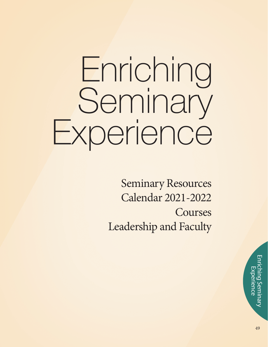# Enriching Seminary Experience

Seminary Resources Calendar 2021-2022 Courses Leadership and Faculty

> 49Enriching Seminary Experience **perience** ing Semi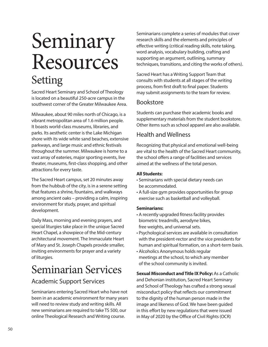# Seminary Resources Setting

Sacred Heart Seminary and School of Theology is located on a beautiful 250-acre campus in the southwest corner of the Greater Milwaukee Area.

Milwaukee, about 90 miles north of Chicago, is a vibrant metropolitan area of 1.6 million people. It boasts world-class museums, libraries, and parks. Its aesthetic center is the Lake Michigan shore with its wide white sand beaches, extensive parkways, and large music and ethnic festivals throughout the summer. Milwaukee is home to a vast array of eateries, major sporting events, live theater, museums, first-class shopping, and other attractions for every taste.

The Sacred Heart campus, set 20 minutes away from the hubbub of the city, is in a serene setting that features a shrine, fountains, and walkways among ancient oaks – providing a calm, inspiring environment for study, prayer, and spiritual development.

Daily Mass, morning and evening prayers, and special liturgies take place in the unique Sacred Heart Chapel, a showpiece of the Mid-century architectural movement. The Immaculate Heart of Mary and St. Joseph Chapels provide smaller, inviting environments for prayer and a variety of liturgies.

### Seminarian Services

#### Academic Support Services

Seminarians entering Sacred Heart who have not been in an academic environment for many years will need to review study and writing skills. All new seminarians are required to take TS 500, our online Theological Research and Writing course.

Seminarians complete a series of modules that cover research skills and the elements and principles of effective writing (critical reading skills, note taking, word analysis, vocabulary building, crafting and supporting an argument, outlining, summary techniques, transitions, and citing the works of others).

Sacred Heart has a Writing Support Team that consults with students at all stages of the writing process, from first draft to final paper. Students may submit assignments to the team for review.

#### Bookstore

Students can purchase their academic books and supplementary materials from the student bookstore. Other items such as school apparel are also available.

#### Health and Wellness

Recognizing that physical and emotional well-being are vital to the health of the Sacred Heart community, the school offers a range of facilities and services aimed at the wellness of the total person.

#### **All Students:**

- Seminarians with special dietary needs can be accommodated.
- A full-size gym provides opportunities for group exercise such as basketball and volleyball.

#### **Seminarians:**

- A recently upgraded fitness facility provides biometric treadmills, aerodyne bikes, free weights, and universal sets.
- Psychological services are available in consultation with the president-rector and the vice presidents for human and spiritual formation, on a short-term basis.
- Alcoholics Anonymous holds regular meetings at the school, to which any member of the school community is invited.

**Sexual Misconduct and Title IX Policy:** As a Catholic and Dehonian institution, Sacred Heart Seminary and School of Theology has crafted a strong sexual misconduct policy that reflects our commitment to the dignity of the human person made in the image and likeness of God. We have been guided in this effort by new regulations that were issued in May of 2020 by the Office of Civil Rights (OCR)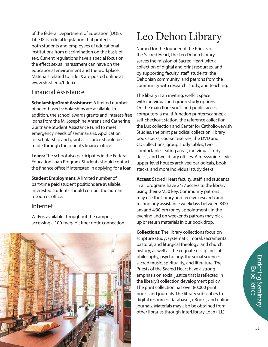of the federal Department of Education (DOE). Title IX is federal legislation that protects both students and employees of educational institutions from discrimination on the basis of sex. Current regulations have a special focus on the effect sexual harassment can have on the educational environment and the workplace. Materials related to Title IX are posted online at www.shsst.edu/title-ix.

#### Financial Assistance

**Scholarship/Grant Assistance:** A limited number of need-based scholarships are available. In addition, the school awards grants and interest-free loans from the M. Josephine Ahrens and Catherine Guiltnane Student Assistance Fund to meet emergency needs of seminarians. Application for scholarship and grant assistance should be made through the school's finance office.

**Loans:** The school also participates in the Federal Education Loan Program. Students should contact the finance office if interested in applying for a loan.

**Student Employment:** A limited number of part-time paid student positions are available. Interested students should contact the human resources office.

#### Internet

Wi-Fi is available throughout the campus, accessing a 100-megabit fiber optic connection.



# Leo Dehon Library

Named for the founder of the Priests of the Sacred Heart, the Leo Dehon Library serves the mission of Sacred Heart with a collection of digital and print resources, and by supporting faculty, staff, students, the Dehonian community, and patrons from the community with research, study, and teaching.

The library is an inviting, well-lit space with individual and group study options. On the main floor you'll find public-access computers, a multi-function printer/scanner, a self-checkout station, the reference collection, the Lux collection and Center for Catholic-Jewish Studies, the print periodical collection, library book stacks, course reserves, the DVD and CD collections, group study tables, two comfortable seating areas, individual study desks, and two library offices. A mezzanine-style upper-level houses archived periodicals, book stacks, and more individual study desks.

**Access:** Sacred Heart faculty, staff, and students in all programs have 24/7 access to the library using their GM50 key. Community patrons may use the library and receive research and technology assistance weekdays between 8:00 am and 4:30 pm (or by appointment). In the evening and on weekends patrons may pick up or return materials in our book drop.

**Collections:** The library collections focus on scripture study; systematic, moral, sacramental, pastoral, and liturgical theology; and church history; as well as the cognate disciplines of philosophy, psychology, the social sciences, sacred music, spirituality, and literature. The Priests of the Sacred Heart have a strong emphasis on social justice that is reflected in the library's collection development policy. The print collection has over 80,000 print books and journals. The library subscribes to digital resources: databases, eBooks, and online journals. Materials may also be obtained from other libraries through InterLibrary Loan (ILL).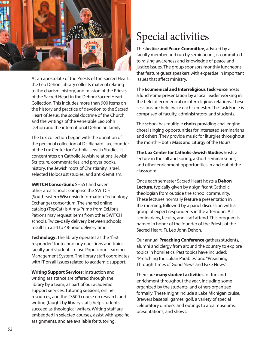

As an apostolate of the Priests of the Sacred Heart, the Leo Dehon Library collects material relating to the charism, history, and mission of the Priests of the Sacred Heart in the Dehon/Sacred Heart Collection. This includes more than 900 items on the history and practice of devotion to the Sacred Heart of Jesus, the social doctrine of the Church, and the writings of the Venerable Leo John Dehon and the international Dehonian family.

The Lux collection began with the donation of the personal collection of Dr. Richard Lux, founder of the Lux Center for Catholic-Jewish Studies. It concentrates on Catholic-Jewish relations, Jewish Scripture, commentaries, and prayer books, history, the Jewish roots of Christianity, Israel, selected Holocaust studies, and anti-Semitism.

**SWITCH Consortium:** SHSST and seven other area schools comprise the SWITCH (Southeastern Wisconsin Information Technology Exchange) consortium. The shared online catalog (TopCat) is Alma/Primo from ExLibris. Patrons may request items from other SWITCH schools. Twice-daily delivery between schools results in a 24 to 48-hour delivery time.

**Technology:** The library operates as the "first" responder" for technology questions and trains faculty and students to use Populi, our Learning Management System. The library staff coordinates with IT on all issues related to academic support.

**Writing Support Services:** Instruction and writing assistance are offered through the library by a team, as part of our academic support services. Tutoring sessions, online resources, and the TS500 course on research and writing (taught by library staff) help students succeed as theological writers. Writing staff are embedded in selected courses, assist with specific assignments, and are available for tutoring.

## Special activities

The **Justice and Peace Committee**, advised by a faculty member and run by seminarians, is committed to raising awareness and knowledge of peace and justice issues. The group sponsors monthly luncheons that feature guest speakers with expertise in important issues that affect ministry.

The **Ecumenical and Interreligious Task Force** hosts a lunch-time presentation by a local leader working in the field of ecumenical or interreligious relations. These sessions are held twice each semester. The Task Force is comprised of faculty, administrators, and students.

The school has multiple **choirs** providing challenging choral singing opportunities for interested seminarians and others. They provide music for liturgies throughout the month – both Mass and Liturgy of the Hours.

**The Lux Center for Catholic-Jewish Studies** hosts a lecture in the fall and spring, a short seminar series, and other enrichment opportunities in and out of the classroom.

Once each semester Sacred Heart hosts a **Dehon Lecture**, typically given by a significant Catholic theologian from outside the school community. These lectures normally feature a presentation in the morning, followed by a panel discussion with a group of expert respondents in the afternoon. All seminarians, faculty, and staff attend. This program is named in honor of the founder of the Priests of the Sacred Heart, Fr. Leo John Dehon.

Our annual **Preaching Conference** gathers students, alumni and clergy from around the country to explore topics in homiletics. Past topics have included: "Preaching the Lukan Parables" and "Preaching Through Times of Good News and Fake News".

There are **many student activities** for fun and enrichment throughout the year, including some organized by the students, and others organized formally. These might include a Lake Michigan cruise, Brewers baseball games, golf, a variety of special celebratory dinners, and outings to area museums, presentations, and shows.